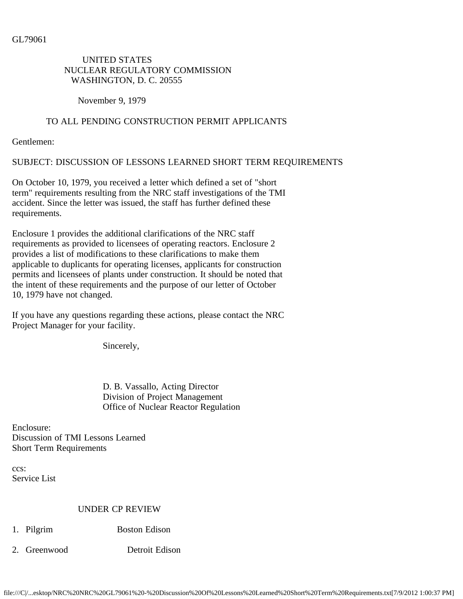GL79061

#### UNITED STATES NUCLEAR REGULATORY COMMISSION WASHINGTON, D. C. 20555

November 9, 1979

### TO ALL PENDING CONSTRUCTION PERMIT APPLICANTS

Gentlemen:

SUBJECT: DISCUSSION OF LESSONS LEARNED SHORT TERM REQUIREMENTS

On October 10, 1979, you received a letter which defined a set of "short term" requirements resulting from the NRC staff investigations of the TMI accident. Since the letter was issued, the staff has further defined these requirements.

Enclosure 1 provides the additional clarifications of the NRC staff requirements as provided to licensees of operating reactors. Enclosure 2 provides a list of modifications to these clarifications to make them applicable to duplicants for operating licenses, applicants for construction permits and licensees of plants under construction. It should be noted that the intent of these requirements and the purpose of our letter of October 10, 1979 have not changed.

If you have any questions regarding these actions, please contact the NRC Project Manager for your facility.

Sincerely,

 D. B. Vassallo, Acting Director Division of Project Management Office of Nuclear Reactor Regulation

Enclosure: Discussion of TMI Lessons Learned Short Term Requirements

ccs: Service List

#### UNDER CP REVIEW

- 1. Pilgrim Boston Edison
- 2. Greenwood Detroit Edison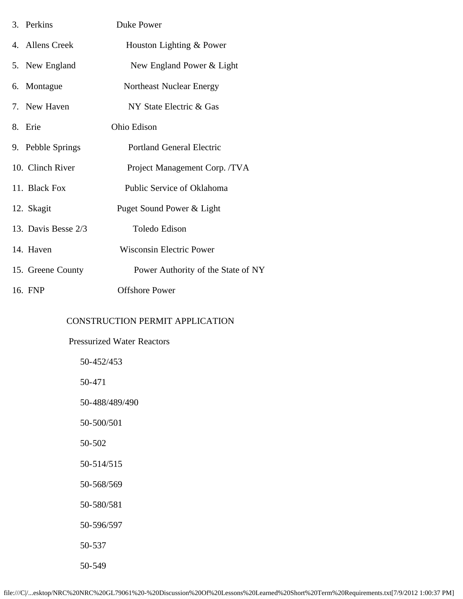| 3. Perkins          | Duke Power                         |
|---------------------|------------------------------------|
| 4. Allens Creek     | Houston Lighting & Power           |
| 5. New England      | New England Power & Light          |
| 6. Montague         | Northeast Nuclear Energy           |
| 7. New Haven        | NY State Electric & Gas            |
| 8. Erie             | Ohio Edison                        |
| 9. Pebble Springs   | <b>Portland General Electric</b>   |
| 10. Clinch River    | Project Management Corp. /TVA      |
| 11. Black Fox       | Public Service of Oklahoma         |
| 12. Skagit          | Puget Sound Power & Light          |
| 13. Davis Besse 2/3 | Toledo Edison                      |
| 14. Haven           | <b>Wisconsin Electric Power</b>    |
| 15. Greene County   | Power Authority of the State of NY |
| 16. FNP             | <b>Offshore Power</b>              |

## CONSTRUCTION PERMIT APPLICATION

| <b>Pressurized Water Reactors</b> |
|-----------------------------------|
| 50-452/453                        |
| 50-471                            |
| 50-488/489/490                    |
| 50-500/501                        |
| 50-502                            |
| 50-514/515                        |
| 50-568/569                        |
| 50-580/581                        |
| 50-596/597                        |
| 50-537                            |
| 50-549                            |